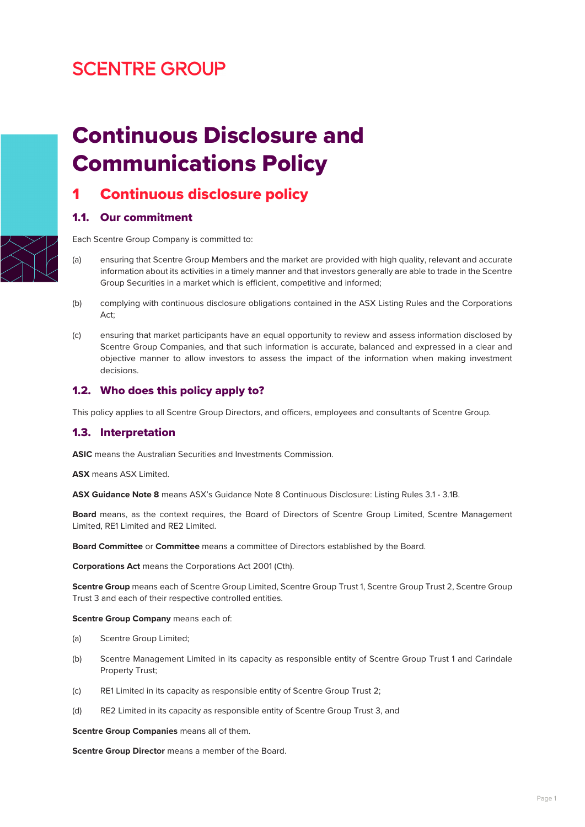# **SCENTRE GROUP**



1.1. Our commitment

Continuous Disclosure and

Communications Policy

Continuous disclosure policy

Each Scentre Group Company is committed to:

- (a) ensuring that Scentre Group Members and the market are provided with high quality, relevant and accurate information about its activities in a timely manner and that investors generally are able to trade in the Scentre Group Securities in a market which is efficient, competitive and informed;
- (b) complying with continuous disclosure obligations contained in the ASX Listing Rules and the Corporations Act;
- (c) ensuring that market participants have an equal opportunity to review and assess information disclosed by Scentre Group Companies, and that such information is accurate, balanced and expressed in a clear and objective manner to allow investors to assess the impact of the information when making investment decisions.

### 1.2. Who does this policy apply to?

This policy applies to all Scentre Group Directors, and officers, employees and consultants of Scentre Group.

### 1.3. Interpretation

**ASIC** means the Australian Securities and Investments Commission.

**ASX** means ASX Limited.

**ASX Guidance Note 8** means ASX's Guidance Note 8 Continuous Disclosure: Listing Rules 3.1 - 3.1B.

**Board** means, as the context requires, the Board of Directors of Scentre Group Limited, Scentre Management Limited, RE1 Limited and RE2 Limited.

**Board Committee** or **Committee** means a committee of Directors established by the Board.

**Corporations Act** means the Corporations Act 2001 (Cth).

**Scentre Group** means each of Scentre Group Limited, Scentre Group Trust 1, Scentre Group Trust 2, Scentre Group Trust 3 and each of their respective controlled entities.

**Scentre Group Company** means each of:

- (a) Scentre Group Limited;
- (b) Scentre Management Limited in its capacity as responsible entity of Scentre Group Trust 1 and Carindale Property Trust;
- (c) RE1 Limited in its capacity as responsible entity of Scentre Group Trust 2;
- (d) RE2 Limited in its capacity as responsible entity of Scentre Group Trust 3, and

**Scentre Group Companies** means all of them.

**Scentre Group Director** means a member of the Board.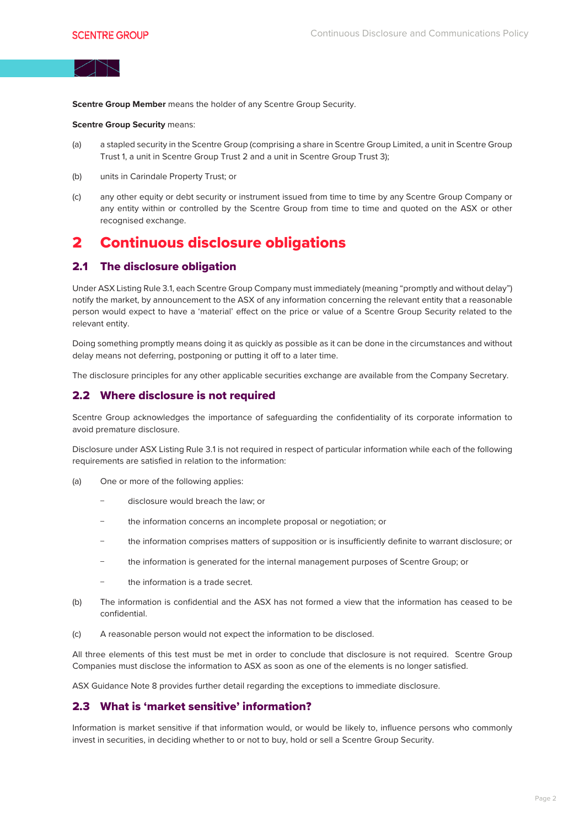**Scentre Group Member** means the holder of any Scentre Group Security.

**Scentre Group Security means:** 

- (a) a stapled security in the Scentre Group (comprising a share in Scentre Group Limited, a unit in Scentre Group Trust 1, a unit in Scentre Group Trust 2 and a unit in Scentre Group Trust 3);
- (b) units in Carindale Property Trust; or
- (c) any other equity or debt security or instrument issued from time to time by any Scentre Group Company or any entity within or controlled by the Scentre Group from time to time and quoted on the ASX or other recognised exchange.

## 2 Continuous disclosure obligations

#### 2.1 The disclosure obligation

Under ASX Listing Rule 3.1, each Scentre Group Company must immediately (meaning "promptly and without delay") notify the market, by announcement to the ASX of any information concerning the relevant entity that a reasonable person would expect to have a 'material' effect on the price or value of a Scentre Group Security related to the relevant entity.

Doing something promptly means doing it as quickly as possible as it can be done in the circumstances and without delay means not deferring, postponing or putting it off to a later time.

The disclosure principles for any other applicable securities exchange are available from the Company Secretary.

#### 2.2 Where disclosure is not required

Scentre Group acknowledges the importance of safeguarding the confidentiality of its corporate information to avoid premature disclosure.

Disclosure under ASX Listing Rule 3.1 is not required in respect of particular information while each of the following requirements are satisfied in relation to the information:

- (a) One or more of the following applies:
	- − disclosure would breach the law; or
	- the information concerns an incomplete proposal or negotiation; or
	- − the information comprises matters of supposition or is insufficiently definite to warrant disclosure; or
	- − the information is generated for the internal management purposes of Scentre Group; or
	- the information is a trade secret.
- (b) The information is confidential and the ASX has not formed a view that the information has ceased to be confidential.
- (c) A reasonable person would not expect the information to be disclosed.

All three elements of this test must be met in order to conclude that disclosure is not required. Scentre Group Companies must disclose the information to ASX as soon as one of the elements is no longer satisfied.

ASX Guidance Note 8 provides further detail regarding the exceptions to immediate disclosure.

#### 2.3 What is 'market sensitive' information?

Information is market sensitive if that information would, or would be likely to, influence persons who commonly invest in securities, in deciding whether to or not to buy, hold or sell a Scentre Group Security.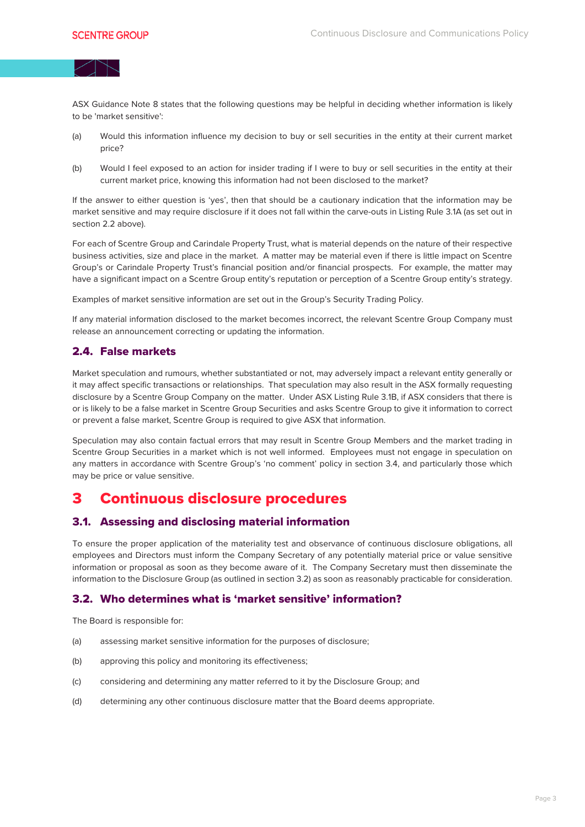

ASX Guidance Note 8 states that the following questions may be helpful in deciding whether information is likely to be 'market sensitive':

- (a) Would this information influence my decision to buy or sell securities in the entity at their current market price?
- (b) Would I feel exposed to an action for insider trading if I were to buy or sell securities in the entity at their current market price, knowing this information had not been disclosed to the market?

If the answer to either question is 'yes', then that should be a cautionary indication that the information may be market sensitive and may require disclosure if it does not fall within the carve-outs in Listing Rule 3.1A (as set out in section 2.2 above).

For each of Scentre Group and Carindale Property Trust, what is material depends on the nature of their respective business activities, size and place in the market. A matter may be material even if there is little impact on Scentre Group's or Carindale Property Trust's financial position and/or financial prospects. For example, the matter may have a significant impact on a Scentre Group entity's reputation or perception of a Scentre Group entity's strategy.

Examples of market sensitive information are set out in the Group's Security Trading Policy.

If any material information disclosed to the market becomes incorrect, the relevant Scentre Group Company must release an announcement correcting or updating the information.

#### 2.4. False markets

Market speculation and rumours, whether substantiated or not, may adversely impact a relevant entity generally or it may affect specific transactions or relationships. That speculation may also result in the ASX formally requesting disclosure by a Scentre Group Company on the matter. Under ASX Listing Rule 3.1B, if ASX considers that there is or is likely to be a false market in Scentre Group Securities and asks Scentre Group to give it information to correct or prevent a false market, Scentre Group is required to give ASX that information.

Speculation may also contain factual errors that may result in Scentre Group Members and the market trading in Scentre Group Securities in a market which is not well informed. Employees must not engage in speculation on any matters in accordance with Scentre Group's 'no comment' policy in section 3.4, and particularly those which may be price or value sensitive.

## 3 Continuous disclosure procedures

#### 3.1. Assessing and disclosing material information

To ensure the proper application of the materiality test and observance of continuous disclosure obligations, all employees and Directors must inform the Company Secretary of any potentially material price or value sensitive information or proposal as soon as they become aware of it. The Company Secretary must then disseminate the information to the Disclosure Group (as outlined in section 3.2) as soon as reasonably practicable for consideration.

#### 3.2. Who determines what is 'market sensitive' information?

The Board is responsible for:

- (a) assessing market sensitive information for the purposes of disclosure;
- (b) approving this policy and monitoring its effectiveness;
- (c) considering and determining any matter referred to it by the Disclosure Group; and
- (d) determining any other continuous disclosure matter that the Board deems appropriate.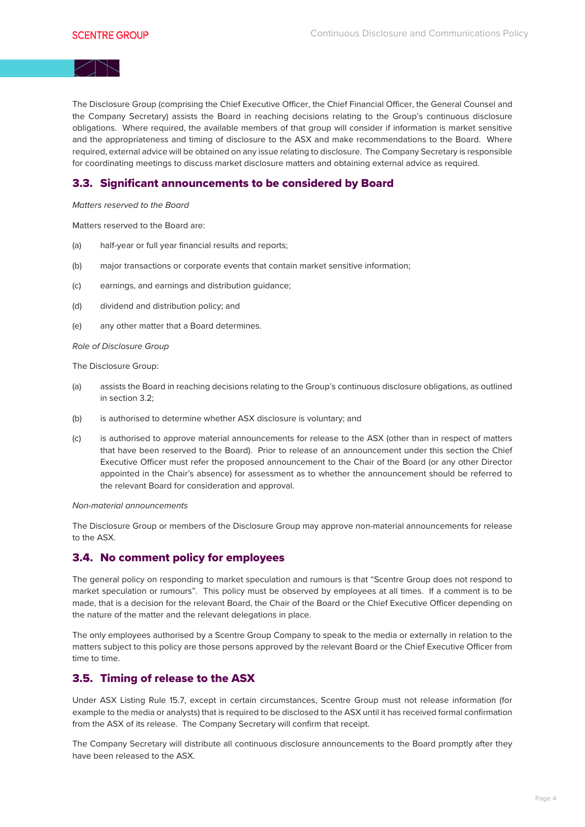The Disclosure Group (comprising the Chief Executive Officer, the Chief Financial Officer, the General Counsel and the Company Secretary) assists the Board in reaching decisions relating to the Group's continuous disclosure obligations. Where required, the available members of that group will consider if information is market sensitive and the appropriateness and timing of disclosure to the ASX and make recommendations to the Board. Where required, external advice will be obtained on any issue relating to disclosure. The Company Secretary is responsible for coordinating meetings to discuss market disclosure matters and obtaining external advice as required.

### 3.3. Significant announcements to be considered by Board

Matters reserved to the Board

Matters reserved to the Board are:

- (a) half-year or full year financial results and reports;
- (b) major transactions or corporate events that contain market sensitive information;
- (c) earnings, and earnings and distribution guidance;
- (d) dividend and distribution policy; and
- (e) any other matter that a Board determines.

Role of Disclosure Group

The Disclosure Group:

- (a) assists the Board in reaching decisions relating to the Group's continuous disclosure obligations, as outlined in section 3.2;
- (b) is authorised to determine whether ASX disclosure is voluntary; and
- (c) is authorised to approve material announcements for release to the ASX (other than in respect of matters that have been reserved to the Board). Prior to release of an announcement under this section the Chief Executive Officer must refer the proposed announcement to the Chair of the Board (or any other Director appointed in the Chair's absence) for assessment as to whether the announcement should be referred to the relevant Board for consideration and approval.

Non-material announcements

The Disclosure Group or members of the Disclosure Group may approve non-material announcements for release to the ASX.

### 3.4. No comment policy for employees

The general policy on responding to market speculation and rumours is that "Scentre Group does not respond to market speculation or rumours". This policy must be observed by employees at all times. If a comment is to be made, that is a decision for the relevant Board, the Chair of the Board or the Chief Executive Officer depending on the nature of the matter and the relevant delegations in place.

The only employees authorised by a Scentre Group Company to speak to the media or externally in relation to the matters subject to this policy are those persons approved by the relevant Board or the Chief Executive Officer from time to time.

### 3.5. Timing of release to the ASX

Under ASX Listing Rule 15.7, except in certain circumstances, Scentre Group must not release information (for example to the media or analysts) that is required to be disclosed to the ASX until it has received formal confirmation from the ASX of its release. The Company Secretary will confirm that receipt.

The Company Secretary will distribute all continuous disclosure announcements to the Board promptly after they have been released to the ASX.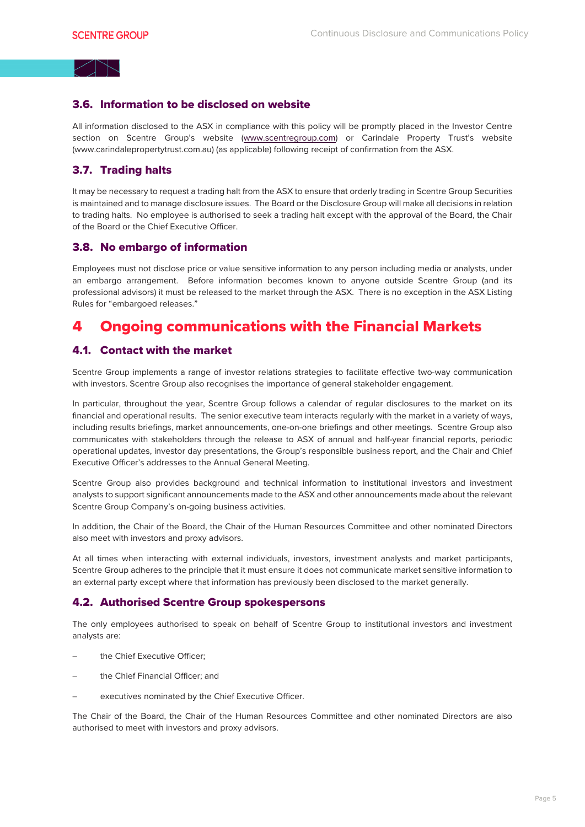### 3.6. Information to be disclosed on website

All information disclosed to the ASX in compliance with this policy will be promptly placed in the Investor Centre section on Scentre Group's website (www.scentregroup.com) or Carindale Property Trust's website (www.carindalepropertytrust.com.au) (as applicable) following receipt of confirmation from the ASX.

#### 3.7. Trading halts

It may be necessary to request a trading halt from the ASX to ensure that orderly trading in Scentre Group Securities is maintained and to manage disclosure issues. The Board or the Disclosure Group will make all decisions in relation to trading halts. No employee is authorised to seek a trading halt except with the approval of the Board, the Chair of the Board or the Chief Executive Officer.

#### 3.8. No embargo of information

Employees must not disclose price or value sensitive information to any person including media or analysts, under an embargo arrangement. Before information becomes known to anyone outside Scentre Group (and its professional advisors) it must be released to the market through the ASX. There is no exception in the ASX Listing Rules for "embargoed releases."

## 4 Ongoing communications with the Financial Markets

### 4.1. Contact with the market

Scentre Group implements a range of investor relations strategies to facilitate effective two-way communication with investors. Scentre Group also recognises the importance of general stakeholder engagement.

In particular, throughout the year, Scentre Group follows a calendar of regular disclosures to the market on its financial and operational results. The senior executive team interacts regularly with the market in a variety of ways, including results briefings, market announcements, one-on-one briefings and other meetings. Scentre Group also communicates with stakeholders through the release to ASX of annual and half-year financial reports, periodic operational updates, investor day presentations, the Group's responsible business report, and the Chair and Chief Executive Officer's addresses to the Annual General Meeting.

Scentre Group also provides background and technical information to institutional investors and investment analysts to support significant announcements made to the ASX and other announcements made about the relevant Scentre Group Company's on-going business activities.

In addition, the Chair of the Board, the Chair of the Human Resources Committee and other nominated Directors also meet with investors and proxy advisors.

At all times when interacting with external individuals, investors, investment analysts and market participants, Scentre Group adheres to the principle that it must ensure it does not communicate market sensitive information to an external party except where that information has previously been disclosed to the market generally.

#### 4.2. Authorised Scentre Group spokespersons

The only employees authorised to speak on behalf of Scentre Group to institutional investors and investment analysts are:

- the Chief Executive Officer;
- the Chief Financial Officer; and
- executives nominated by the Chief Executive Officer.

The Chair of the Board, the Chair of the Human Resources Committee and other nominated Directors are also authorised to meet with investors and proxy advisors.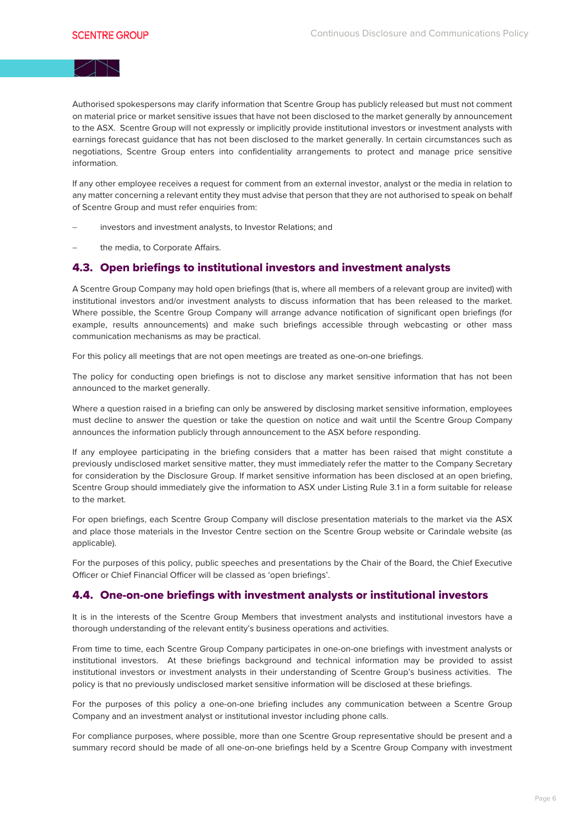Authorised spokespersons may clarify information that Scentre Group has publicly released but must not comment on material price or market sensitive issues that have not been disclosed to the market generally by announcement to the ASX. Scentre Group will not expressly or implicitly provide institutional investors or investment analysts with earnings forecast guidance that has not been disclosed to the market generally. In certain circumstances such as negotiations, Scentre Group enters into confidentiality arrangements to protect and manage price sensitive information.

If any other employee receives a request for comment from an external investor, analyst or the media in relation to any matter concerning a relevant entity they must advise that person that they are not authorised to speak on behalf of Scentre Group and must refer enquiries from:

- investors and investment analysts, to Investor Relations; and
- the media, to Corporate Affairs.

#### 4.3. Open briefings to institutional investors and investment analysts

A Scentre Group Company may hold open briefings (that is, where all members of a relevant group are invited) with institutional investors and/or investment analysts to discuss information that has been released to the market. Where possible, the Scentre Group Company will arrange advance notification of significant open briefings (for example, results announcements) and make such briefings accessible through webcasting or other mass communication mechanisms as may be practical.

For this policy all meetings that are not open meetings are treated as one-on-one briefings.

The policy for conducting open briefings is not to disclose any market sensitive information that has not been announced to the market generally.

Where a question raised in a briefing can only be answered by disclosing market sensitive information, employees must decline to answer the question or take the question on notice and wait until the Scentre Group Company announces the information publicly through announcement to the ASX before responding.

If any employee participating in the briefing considers that a matter has been raised that might constitute a previously undisclosed market sensitive matter, they must immediately refer the matter to the Company Secretary for consideration by the Disclosure Group. If market sensitive information has been disclosed at an open briefing, Scentre Group should immediately give the information to ASX under Listing Rule 3.1 in a form suitable for release to the market.

For open briefings, each Scentre Group Company will disclose presentation materials to the market via the ASX and place those materials in the Investor Centre section on the Scentre Group website or Carindale website (as applicable).

For the purposes of this policy, public speeches and presentations by the Chair of the Board, the Chief Executive Officer or Chief Financial Officer will be classed as 'open briefings'.

### 4.4. One-on-one briefings with investment analysts or institutional investors

It is in the interests of the Scentre Group Members that investment analysts and institutional investors have a thorough understanding of the relevant entity's business operations and activities.

From time to time, each Scentre Group Company participates in one-on-one briefings with investment analysts or institutional investors. At these briefings background and technical information may be provided to assist institutional investors or investment analysts in their understanding of Scentre Group's business activities. The policy is that no previously undisclosed market sensitive information will be disclosed at these briefings.

For the purposes of this policy a one-on-one briefing includes any communication between a Scentre Group Company and an investment analyst or institutional investor including phone calls.

For compliance purposes, where possible, more than one Scentre Group representative should be present and a summary record should be made of all one-on-one briefings held by a Scentre Group Company with investment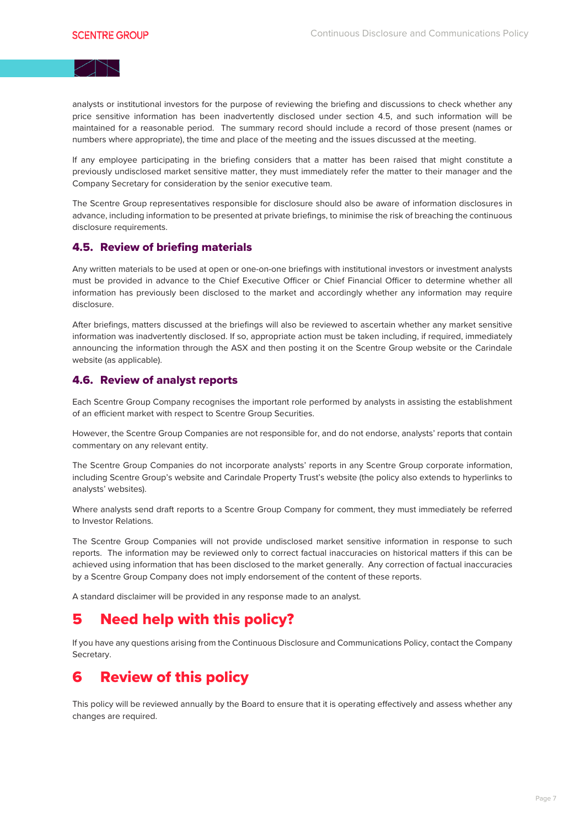analysts or institutional investors for the purpose of reviewing the briefing and discussions to check whether any price sensitive information has been inadvertently disclosed under section 4.5, and such information will be maintained for a reasonable period. The summary record should include a record of those present (names or numbers where appropriate), the time and place of the meeting and the issues discussed at the meeting.

If any employee participating in the briefing considers that a matter has been raised that might constitute a previously undisclosed market sensitive matter, they must immediately refer the matter to their manager and the Company Secretary for consideration by the senior executive team.

The Scentre Group representatives responsible for disclosure should also be aware of information disclosures in advance, including information to be presented at private briefings, to minimise the risk of breaching the continuous disclosure requirements.

#### 4.5. Review of briefing materials

Any written materials to be used at open or one-on-one briefings with institutional investors or investment analysts must be provided in advance to the Chief Executive Officer or Chief Financial Officer to determine whether all information has previously been disclosed to the market and accordingly whether any information may require disclosure.

After briefings, matters discussed at the briefings will also be reviewed to ascertain whether any market sensitive information was inadvertently disclosed. If so, appropriate action must be taken including, if required, immediately announcing the information through the ASX and then posting it on the Scentre Group website or the Carindale website (as applicable).

#### 4.6. Review of analyst reports

Each Scentre Group Company recognises the important role performed by analysts in assisting the establishment of an efficient market with respect to Scentre Group Securities.

However, the Scentre Group Companies are not responsible for, and do not endorse, analysts' reports that contain commentary on any relevant entity.

The Scentre Group Companies do not incorporate analysts' reports in any Scentre Group corporate information, including Scentre Group's website and Carindale Property Trust's website (the policy also extends to hyperlinks to analysts' websites).

Where analysts send draft reports to a Scentre Group Company for comment, they must immediately be referred to Investor Relations.

The Scentre Group Companies will not provide undisclosed market sensitive information in response to such reports. The information may be reviewed only to correct factual inaccuracies on historical matters if this can be achieved using information that has been disclosed to the market generally. Any correction of factual inaccuracies by a Scentre Group Company does not imply endorsement of the content of these reports.

A standard disclaimer will be provided in any response made to an analyst.

## 5 Need help with this policy?

If you have any questions arising from the Continuous Disclosure and Communications Policy, contact the Company Secretary.

## 6 Review of this policy

This policy will be reviewed annually by the Board to ensure that it is operating effectively and assess whether any changes are required.